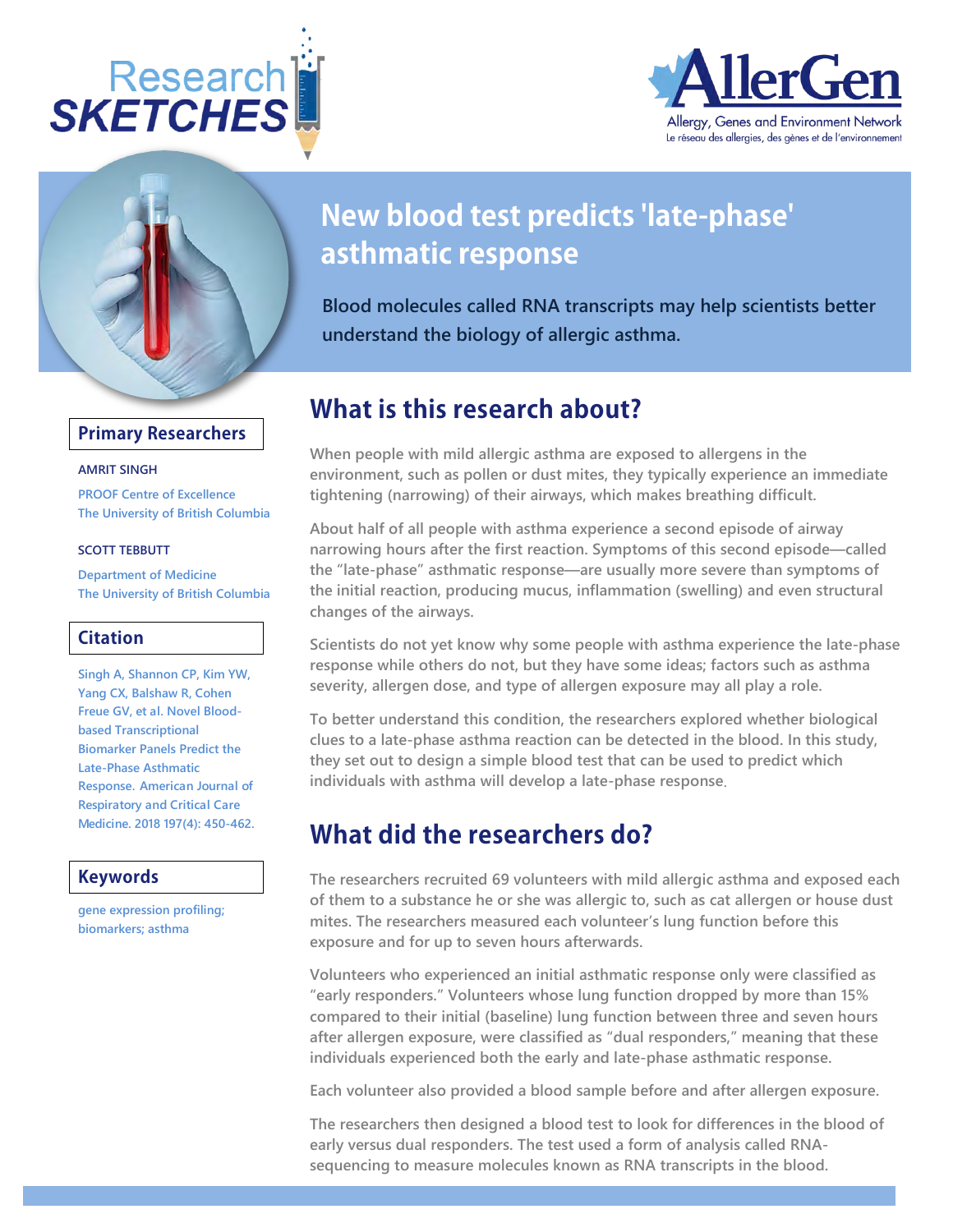





## **Primary Researchers**

#### **AMRIT SINGH**

**[PROOF Centre of Excellence](http://sketches.allergen-nce.ca/index?department_institute=Community%20Health%20Sciences) The University of British Columbia**

#### **SCOTT TEBBUTT**

**[Department of Medicine](http://sketches.allergen-nce.ca/index?department_institute=Community%20Health%20Sciences) The University of British Columbia**

## **Citation**

**Singh A, Shannon CP, Kim YW, Yang CX, Balshaw R, Cohen Freue GV, et al[. Novel Blood](https://www.atsjournals.org/doi/abs/10.1164/rccm.201701-0110OC?url_ver=Z39.88-2003&rfr_id=ori%3Arid%3Acrossref.org&rfr_dat=cr_pub%3Dpubmed)[based Transcriptional](https://www.atsjournals.org/doi/abs/10.1164/rccm.201701-0110OC?url_ver=Z39.88-2003&rfr_id=ori%3Arid%3Acrossref.org&rfr_dat=cr_pub%3Dpubmed)  [Biomarker Panels Predict the](https://www.atsjournals.org/doi/abs/10.1164/rccm.201701-0110OC?url_ver=Z39.88-2003&rfr_id=ori%3Arid%3Acrossref.org&rfr_dat=cr_pub%3Dpubmed)  [Late-Phase Asthmatic](https://www.atsjournals.org/doi/abs/10.1164/rccm.201701-0110OC?url_ver=Z39.88-2003&rfr_id=ori%3Arid%3Acrossref.org&rfr_dat=cr_pub%3Dpubmed)  [Response.](https://www.atsjournals.org/doi/abs/10.1164/rccm.201701-0110OC?url_ver=Z39.88-2003&rfr_id=ori%3Arid%3Acrossref.org&rfr_dat=cr_pub%3Dpubmed) American Journal of Respiratory and Critical Care Medicine. 2018 197(4): 450-462.** 

### **Keywords**

**gene expression profiling; biomarkers; asthma**

# **New blood test predicts 'late-phase' asthmatic response**

**Blood molecules called RNA transcripts may help scientists better understand the biology of allergic asthma.**

## **What is this research about?**

**When people with mild allergic asthma are exposed to allergens in the environment, such as pollen or dust mites, they typically experience an immediate tightening (narrowing) of their airways, which makes breathing difficult.** 

**About half of all people with asthma experience a second episode of airway narrowing hours after the first reaction. Symptoms of this second episode—called the "late-phase" asthmatic response—are usually more severe than symptoms of the initial reaction, producing mucus, inflammation (swelling) and even structural changes of the airways.** 

**Scientists do not yet know why some people with asthma experience the late-phase response while others do not, but they have some ideas; factors such as asthma severity, allergen dose, and type of allergen exposure may all play a role.** 

**To better understand this condition, the researchers explored whether biological clues to a late-phase asthma reaction can be detected in the blood. In this study, they set out to design a simple blood test that can be used to predict which individuals with asthma will develop a late-phase response**.

## **What did the researchers do?**

**The researchers recruited 69 volunteers with mild allergic asthma and exposed each of them to a substance he or she was allergic to, such as cat allergen or house dust mites. The researchers measured each volunteer's lung function before this exposure and for up to seven hours afterwards.** 

**Volunteers who experienced an initial asthmatic response only were classified as "early responders." Volunteers whose lung function dropped by more than 15% compared to their initial (baseline) lung function between three and seven hours after allergen exposure, were classified as "dual responders," meaning that these individuals experienced both the early and late-phase asthmatic response.** 

**Each volunteer also provided a blood sample before and after allergen exposure.** 

**The researchers then designed a blood test to look for differences in the blood of early versus dual responders. The test used a form of analysis called RNAsequencing to measure molecules known as RNA transcripts in the blood.**